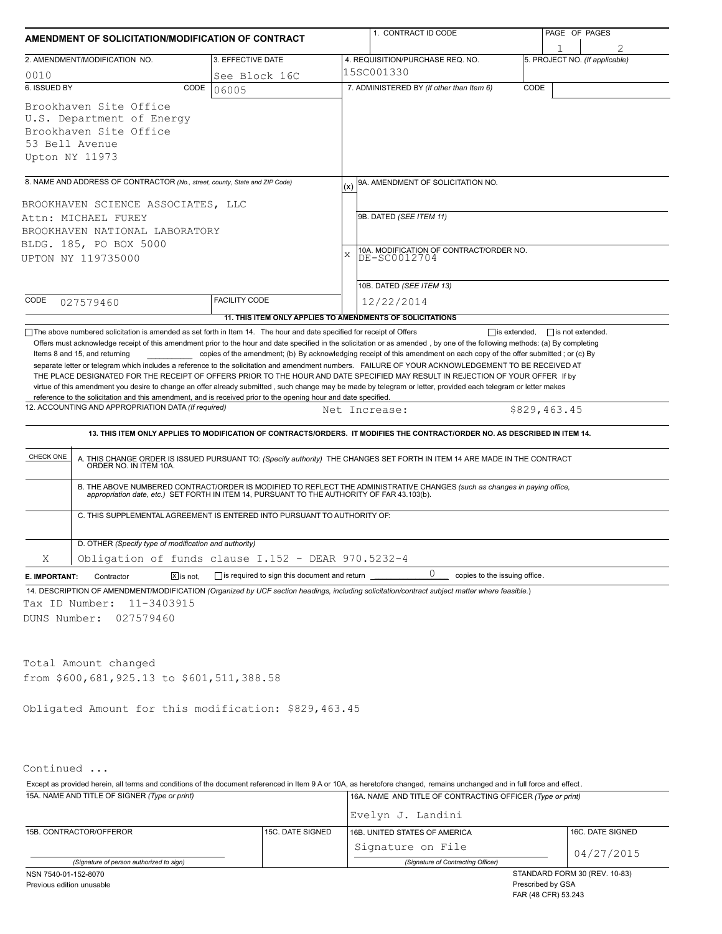|                                                                             |                                                                               | AMENDMENT OF SOLICITATION/MODIFICATION OF CONTRACT        | 1. CONTRACT ID CODE               | PAGE OF PAGES                                                                                                                                                                                                                                            |                                |  |  |  |
|-----------------------------------------------------------------------------|-------------------------------------------------------------------------------|-----------------------------------------------------------|-----------------------------------|----------------------------------------------------------------------------------------------------------------------------------------------------------------------------------------------------------------------------------------------------------|--------------------------------|--|--|--|
|                                                                             | 2. AMENDMENT/MODIFICATION NO.                                                 | 3. EFFECTIVE DATE                                         |                                   | 4. REQUISITION/PURCHASE REQ. NO.                                                                                                                                                                                                                         | 5. PROJECT NO. (If applicable) |  |  |  |
| 0010                                                                        |                                                                               | See Block 16C                                             |                                   | 15SC001330                                                                                                                                                                                                                                               |                                |  |  |  |
| 6. ISSUED BY                                                                | CODE                                                                          | 06005                                                     |                                   | 7. ADMINISTERED BY (If other than Item 6)                                                                                                                                                                                                                | CODE                           |  |  |  |
| 53 Bell Avenue<br>Upton NY 11973                                            | Brookhaven Site Office<br>U.S. Department of Energy<br>Brookhaven Site Office |                                                           |                                   |                                                                                                                                                                                                                                                          |                                |  |  |  |
| 8. NAME AND ADDRESS OF CONTRACTOR (No., street, county, State and ZIP Code) |                                                                               |                                                           | 9A. AMENDMENT OF SOLICITATION NO. |                                                                                                                                                                                                                                                          |                                |  |  |  |
|                                                                             | BROOKHAVEN SCIENCE ASSOCIATES, LLC                                            |                                                           |                                   |                                                                                                                                                                                                                                                          |                                |  |  |  |
|                                                                             | Attn: MICHAEL FUREY                                                           |                                                           |                                   | 9B. DATED (SEE ITEM 11)                                                                                                                                                                                                                                  |                                |  |  |  |
|                                                                             | BROOKHAVEN NATIONAL LABORATORY                                                |                                                           |                                   |                                                                                                                                                                                                                                                          |                                |  |  |  |
|                                                                             | BLDG. 185, PO BOX 5000<br>UPTON NY 119735000                                  |                                                           | X                                 | 10A. MODIFICATION OF CONTRACT/ORDER NO.<br>DE-SC0012704                                                                                                                                                                                                  |                                |  |  |  |
|                                                                             |                                                                               |                                                           |                                   | 10B. DATED (SEE ITEM 13)                                                                                                                                                                                                                                 |                                |  |  |  |
| CODE                                                                        | 027579460                                                                     | <b>FACILITY CODE</b>                                      |                                   | 12/22/2014                                                                                                                                                                                                                                               |                                |  |  |  |
|                                                                             |                                                                               | 11. THIS ITEM ONLY APPLIES TO AMENDMENTS OF SOLICITATIONS |                                   |                                                                                                                                                                                                                                                          |                                |  |  |  |
| CHECK ONE                                                                   | ORDER NO. IN ITEM 10A.                                                        |                                                           |                                   | 13. THIS ITEM ONLY APPLIES TO MODIFICATION OF CONTRACTS/ORDERS. IT MODIFIES THE CONTRACT/ORDER NO. AS DESCRIBED IN ITEM 14.<br>A. THIS CHANGE ORDER IS ISSUED PURSUANT TO: (Specify authority) THE CHANGES SET FORTH IN ITEM 14 ARE MADE IN THE CONTRACT |                                |  |  |  |
|                                                                             | C. THIS SUPPLEMENTAL AGREEMENT IS ENTERED INTO PURSUANT TO AUTHORITY OF:      |                                                           |                                   | B. THE ABOVE NUMBERED CONTRACT/ORDER IS MODIFIED TO REFLECT THE ADMINISTRATIVE CHANGES (such as changes in paying office,<br>appropriation date, etc.) SET FORTH IN ITEM 14, PURSUANT TO THE AUTHORITY OF FAR 43.103(b).                                 |                                |  |  |  |
|                                                                             | D. OTHER (Specify type of modification and authority)                         |                                                           |                                   |                                                                                                                                                                                                                                                          |                                |  |  |  |
| Χ                                                                           | Obligation of funds clause I.152 - DEAR 970.5232-4                            |                                                           |                                   |                                                                                                                                                                                                                                                          |                                |  |  |  |
|                                                                             | $\mathbb{Z}$ is not.<br>Contractor                                            | is required to sign this document and return              |                                   | U<br>copies to the issuing office.                                                                                                                                                                                                                       |                                |  |  |  |
| E. IMPORTANT:<br>Tax ID Number:<br>DUNS Number:                             | 11-3403915<br>027579460                                                       |                                                           |                                   | 14. DESCRIPTION OF AMENDMENT/MODIFICATION (Organized by UCF section headings, including solicitation/contract subject matter where feasible.)                                                                                                            |                                |  |  |  |
|                                                                             | Total Amount changed<br>from \$600,681,925.13 to \$601,511,388.58             |                                                           |                                   |                                                                                                                                                                                                                                                          |                                |  |  |  |

Continued ...

15A. NAME AND TITLE OF SIGNER *(Type or print)* 16A. NAME AND TITLE OF CONTRACTING OFFICER *(Type or print)* Except as provided herein, all terms and conditions of the document referenced in Item 9 A or 10A, as heretofore changed, remains unchanged and in full force and effect .

|                                          |                  | Evelyn J. Landini                  |                  |  |  |
|------------------------------------------|------------------|------------------------------------|------------------|--|--|
| 15B. CONTRACTOR/OFFEROR                  | 15C. DATE SIGNED | 16B. UNITED STATES OF AMERICA      | 16C. DATE SIGNED |  |  |
|                                          |                  | Signature on File                  | 04/27/2015       |  |  |
| (Signature of person authorized to sign) |                  | (Signature of Contracting Officer) |                  |  |  |
| NSN 7540-01-152-8070                     |                  | STANDARD FORM 30 (REV. 10-83)      |                  |  |  |